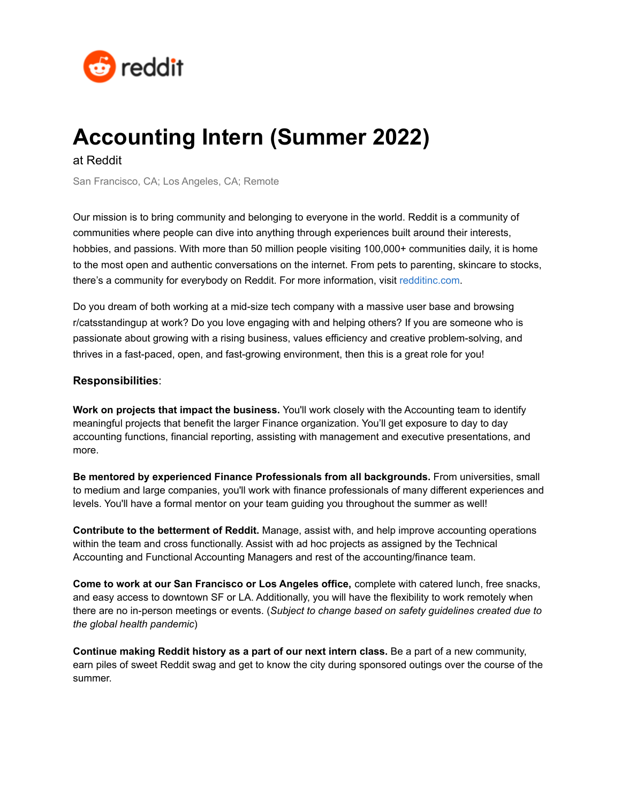

## **Accounting Intern (Summer 2022)**

at Reddit

San Francisco, CA; Los Angeles, CA; Remote

Our mission is to bring community and belonging to everyone in the world. Reddit is a community of communities where people can dive into anything through experiences built around their interests, hobbies, and passions. With more than 50 million people visiting 100,000+ communities daily, it is home to the most open and authentic conversations on the internet. From pets to parenting, skincare to stocks, there's a community for everybody on Reddit. For more information, visit [redditinc.com](https://www.redditinc.com/).

Do you dream of both working at a mid-size tech company with a massive user base and browsing r/catsstandingup at work? Do you love engaging with and helping others? If you are someone who is passionate about growing with a rising business, values efficiency and creative problem-solving, and thrives in a fast-paced, open, and fast-growing environment, then this is a great role for you!

## **Responsibilities**:

**Work on projects that impact the business.** You'll work closely with the Accounting team to identify meaningful projects that benefit the larger Finance organization. You'll get exposure to day to day accounting functions, financial reporting, assisting with management and executive presentations, and more.

**Be mentored by experienced Finance Professionals from all backgrounds.** From universities, small to medium and large companies, you'll work with finance professionals of many different experiences and levels. You'll have a formal mentor on your team guiding you throughout the summer as well!

**Contribute to the betterment of Reddit.** Manage, assist with, and help improve accounting operations within the team and cross functionally. Assist with ad hoc projects as assigned by the Technical Accounting and Functional Accounting Managers and rest of the accounting/finance team.

**Come to work at our San Francisco or Los Angeles office,** complete with catered lunch, free snacks, and easy access to downtown SF or LA. Additionally, you will have the flexibility to work remotely when there are no in-person meetings or events. (*Subject to change based on safety guidelines created due to the global health pandemic*)

**Continue making Reddit history as a part of our next intern class.** Be a part of a new community, earn piles of sweet Reddit swag and get to know the city during sponsored outings over the course of the summer.